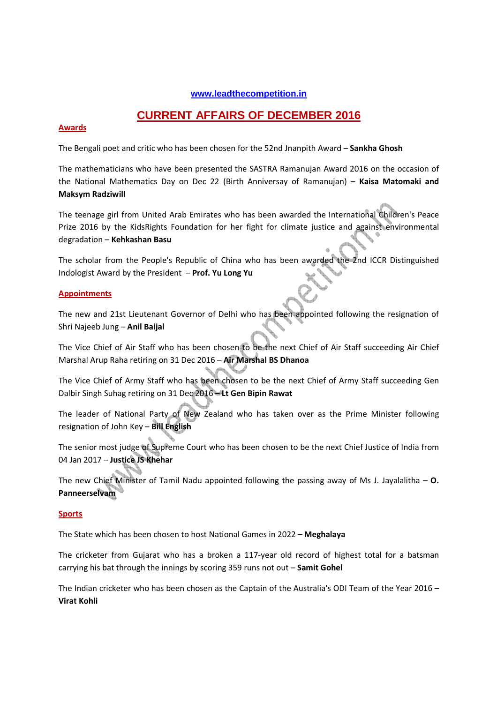# **www.leadthecompetition.in**

# **CURRENT AFFAIRS OF DECEMBER 2016**

### **Awards**

The Bengali poet and critic who has been chosen for the 52nd Jnanpith Award – **Sankha Ghosh**

The mathematicians who have been presented the SASTRA Ramanujan Award 2016 on the occasion of the National Mathematics Day on Dec 22 (Birth Anniversay of Ramanujan) – **Kaisa Matomaki and Maksym Radziwill**

The teenage girl from United Arab Emirates who has been awarded the International Children's Peace Prize 2016 by the KidsRights Foundation for her fight for climate justice and against environmental degradation – **Kehkashan Basu**

The scholar from the People's Republic of China who has been awarded the 2nd ICCR Distinguished Indologist Award by the President – **Prof. Yu Long Yu**

#### **Appointments**

The new and 21st Lieutenant Governor of Delhi who has been appointed following the resignation of Shri Najeeb Jung – **Anil Baijal**

The Vice Chief of Air Staff who has been chosen to be the next Chief of Air Staff succeeding Air Chief Marshal Arup Raha retiring on 31 Dec 2016 – **Air Marshal BS Dhanoa**

The Vice Chief of Army Staff who has been chosen to be the next Chief of Army Staff succeeding Gen Dalbir Singh Suhag retiring on 31 Dec 2016 – **Lt Gen Bipin Rawat**

The leader of National Party of New Zealand who has taken over as the Prime Minister following resignation of John Key – **Bill English**

The senior most judge of Supreme Court who has been chosen to be the next Chief Justice of India from 04 Jan 2017 – **Justice JS Khehar**

The new Chief Minister of Tamil Nadu appointed following the passing away of Ms J. Jayalalitha – **O. Panneerselvam**

#### **Sports**

The State which has been chosen to host National Games in 2022 – **Meghalaya**

The cricketer from Gujarat who has a broken a 117-year old record of highest total for a batsman carrying his bat through the innings by scoring 359 runs not out – **Samit Gohel**

The Indian cricketer who has been chosen as the Captain of the Australia's ODI Team of the Year 2016 – **Virat Kohli**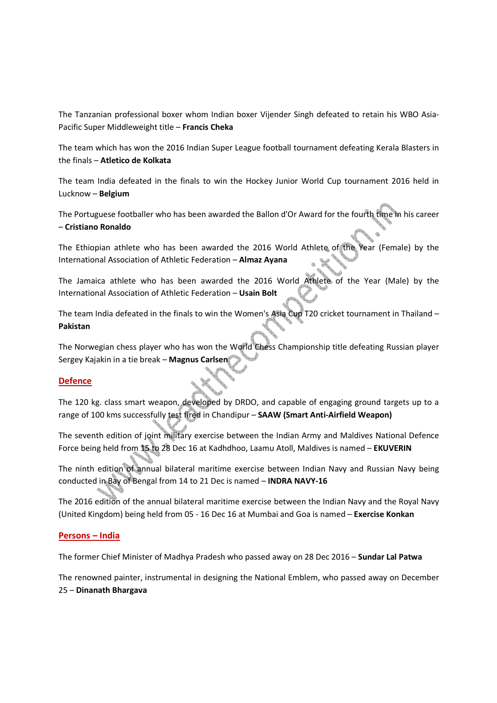The Tanzanian professional boxer whom Indian boxer Vijender Singh defeated to retain his WBO Asia-Pacific Super Middleweight title – **Francis Cheka**

The team which has won the 2016 Indian Super League football tournament defeating Kerala Blasters in the finals – **Atletico de Kolkata** 

The team India defeated in the finals to win the Hockey Junior World Cup tournament 2016 held in Lucknow – **Belgium**

The Portuguese footballer who has been awarded the Ballon d'Or Award for the fourth time in his career – **Cristiano Ronaldo**

The Ethiopian athlete who has been awarded the 2016 World Athlete of the Year (Female) by the International Association of Athletic Federation – **Almaz Ayana**

The Jamaica athlete who has been awarded the 2016 World Athlete of the Year (Male) by the International Association of Athletic Federation – **Usain Bolt**

The team India defeated in the finals to win the Women's Asia Cup T20 cricket tournament in Thailand – **Pakistan**

The Norwegian chess player who has won the World Chess Championship title defeating Russian player Sergey Kajakin in a tie break – **Magnus Carlsen**

# **Defence**

The 120 kg. class smart weapon, developed by DRDO, and capable of engaging ground targets up to a range of 100 kms successfully test fired in Chandipur – **SAAW (Smart Anti-Airfield Weapon)**

The seventh edition of joint military exercise between the Indian Army and Maldives National Defence Force being held from 15 to 28 Dec 16 at Kadhdhoo, Laamu Atoll, Maldives is named – **EKUVERIN**

The ninth edition of annual bilateral maritime exercise between Indian Navy and Russian Navy being conducted in Bay of Bengal from 14 to 21 Dec is named – **INDRA NAVY-16**

The 2016 edition of the annual bilateral maritime exercise between the Indian Navy and the Royal Navy (United Kingdom) being held from 05 - 16 Dec 16 at Mumbai and Goa is named – **Exercise Konkan**

# **Persons – India**

The former Chief Minister of Madhya Pradesh who passed away on 28 Dec 2016 – **Sundar Lal Patwa**

The renowned painter, instrumental in designing the National Emblem, who passed away on December 25 – **Dinanath Bhargava**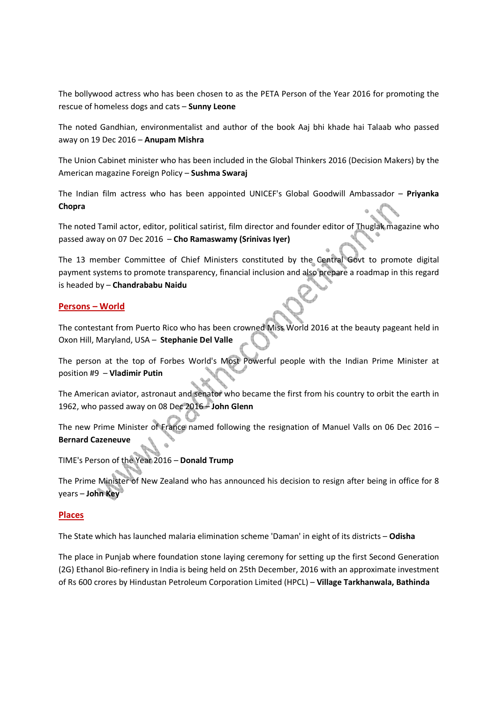The bollywood actress who has been chosen to as the PETA Person of the Year 2016 for promoting the rescue of homeless dogs and cats – **Sunny Leone**

The noted Gandhian, environmentalist and author of the book Aaj bhi khade hai Talaab who passed away on 19 Dec 2016 – **Anupam Mishra**

The Union Cabinet minister who has been included in the Global Thinkers 2016 (Decision Makers) by the American magazine Foreign Policy – **Sushma Swaraj** 

The Indian film actress who has been appointed UNICEF's Global Goodwill Ambassador – **Priyanka Chopra**

The noted Tamil actor, editor, political satirist, film director and founder editor of Thuglak magazine who passed away on 07 Dec 2016 – **Cho Ramaswamy (Srinivas Iyer)**

The 13 member Committee of Chief Ministers constituted by the Central Govt to promote digital payment systems to promote transparency, financial inclusion and also prepare a roadmap in this regard is headed by – **Chandrababu Naidu** 

# **Persons – World**

The contestant from Puerto Rico who has been crowned Miss World 2016 at the beauty pageant held in Oxon Hill, Maryland, USA – **Stephanie Del Valle**

The person at the top of Forbes World's Most Powerful people with the Indian Prime Minister at position #9 – **Vladimir Putin**

The American aviator, astronaut and senator who became the first from his country to orbit the earth in 1962, who passed away on 08 Dec 2016 – **John Glenn**

The new Prime Minister of France named following the resignation of Manuel Valls on 06 Dec 2016 – **Bernard Cazeneuve**

TIME's Person of the Year 2016 – **Donald Trump**

The Prime Minister of New Zealand who has announced his decision to resign after being in office for 8 years – **John Key** 

# **Places**

The State which has launched malaria elimination scheme 'Daman' in eight of its districts – **Odisha**

The place in Punjab where foundation stone laying ceremony for setting up the first Second Generation (2G) Ethanol Bio-refinery in India is being held on 25th December, 2016 with an approximate investment of Rs 600 crores by Hindustan Petroleum Corporation Limited (HPCL) – **Village Tarkhanwala, Bathinda**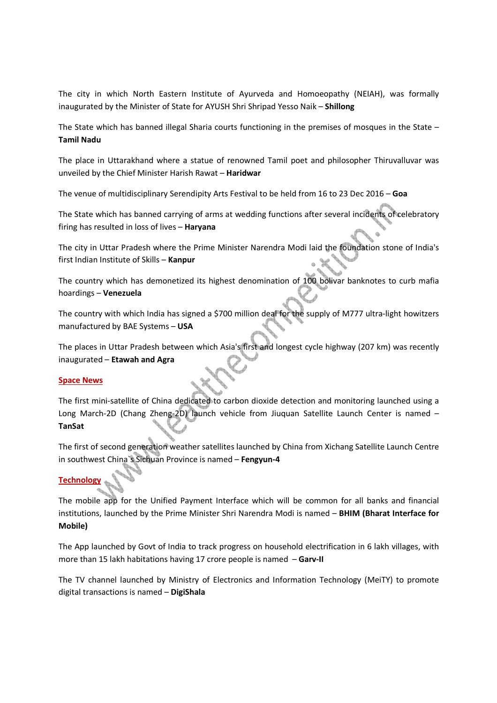The city in which North Eastern Institute of Ayurveda and Homoeopathy (NEIAH), was formally inaugurated by the Minister of State for AYUSH Shri Shripad Yesso Naik – **Shillong**

The State which has banned illegal Sharia courts functioning in the premises of mosques in the State – **Tamil Nadu**

The place in Uttarakhand where a statue of renowned Tamil poet and philosopher Thiruvalluvar was unveiled by the Chief Minister Harish Rawat – **Haridwar**

The venue of multidisciplinary Serendipity Arts Festival to be held from 16 to 23 Dec 2016 – **Goa**

The State which has banned carrying of arms at wedding functions after several incidents of celebratory firing has resulted in loss of lives – **Haryana**

The city in Uttar Pradesh where the Prime Minister Narendra Modi laid the foundation stone of India's first Indian Institute of Skills – **Kanpur**

The country which has demonetized its highest denomination of 100 bolivar banknotes to curb mafia hoardings – **Venezuela**

The country with which India has signed a \$700 million deal for the supply of M777 ultra-light howitzers manufactured by BAE Systems – **USA**

The places in Uttar Pradesh between which Asia's first and longest cycle highway (207 km) was recently inaugurated – **Etawah and Agra**

# **Space News**

The first mini-satellite of China dedicated to carbon dioxide detection and monitoring launched using a Long March-2D (Chang Zheng-2D) launch vehicle from Jiuquan Satellite Launch Center is named -**TanSat**

The first of second generation weather satellites launched by China from Xichang Satellite Launch Centre in southwest China`s Sichuan Province is named – **Fengyun-4**

# **Technology**

The mobile app for the Unified Payment Interface which will be common for all banks and financial institutions, launched by the Prime Minister Shri Narendra Modi is named – **BHIM (Bharat Interface for Mobile)** 

The App launched by Govt of India to track progress on household electrification in 6 lakh villages, with more than 15 lakh habitations having 17 crore people is named – **Garv-II**

The TV channel launched by Ministry of Electronics and Information Technology (MeiTY) to promote digital transactions is named – **DigiShala**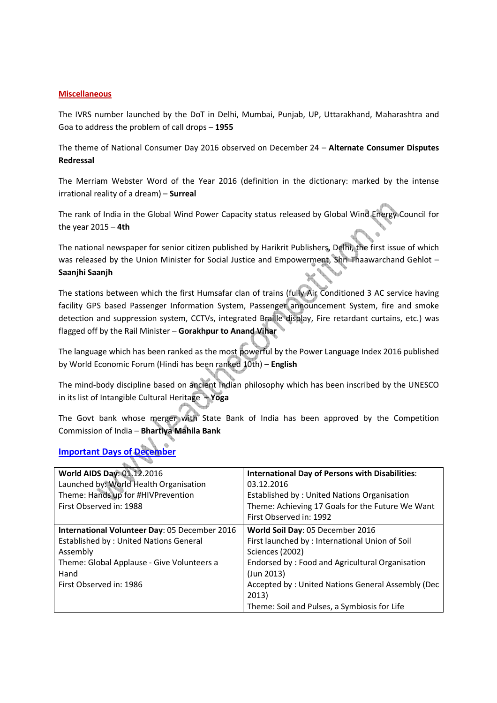### **Miscellaneous**

The IVRS number launched by the DoT in Delhi, Mumbai, Punjab, UP, Uttarakhand, Maharashtra and Goa to address the problem of call drops – **1955**

The theme of National Consumer Day 2016 observed on December 24 – **Alternate Consumer Disputes Redressal**

The Merriam Webster Word of the Year 2016 (definition in the dictionary: marked by the intense irrational reality of a dream) – **Surreal**

The rank of India in the Global Wind Power Capacity status released by Global Wind Energy Council for the year 2015 – **4th**

The national newspaper for senior citizen published by Harikrit Publishers, Delhi, the first issue of which was released by the Union Minister for Social Justice and Empowerment, Shri Thaawarchand Gehlot – **Saanjhi Saanjh**

The stations between which the first Humsafar clan of trains (fully Air Conditioned 3 AC service having facility GPS based Passenger Information System, Passenger announcement System, fire and smoke detection and suppression system, CCTVs, integrated Braille display, Fire retardant curtains, etc.) was flagged off by the Rail Minister – **Gorakhpur to Anand Vihar**

The language which has been ranked as the most powerful by the Power Language Index 2016 published by World Economic Forum (Hindi has been ranked 10th) – **English**

The mind-body discipline based on ancient Indian philosophy which has been inscribed by the UNESCO in its list of Intangible Cultural Heritage – **Yoga**

The Govt bank whose merger with State Bank of India has been approved by the Competition Commission of India – **Bhartiya Mahila Bank** 

| <b>Important Days of December</b> |  |
|-----------------------------------|--|
|                                   |  |

 $\sim$ 

| World AIDS Day: 01.12.2016<br>Launched by: World Health Organisation<br>Theme: Hands up for #HIVPrevention                                                                                  | <b>International Day of Persons with Disabilities:</b><br>03.12.2016<br>Established by: United Nations Organisation                                                                                                                                                                        |
|---------------------------------------------------------------------------------------------------------------------------------------------------------------------------------------------|--------------------------------------------------------------------------------------------------------------------------------------------------------------------------------------------------------------------------------------------------------------------------------------------|
| First Observed in: 1988                                                                                                                                                                     | Theme: Achieving 17 Goals for the Future We Want<br>First Observed in: 1992                                                                                                                                                                                                                |
| International Volunteer Day: 05 December 2016<br><b>Established by: United Nations General</b><br>Assembly<br>Theme: Global Applause - Give Volunteers a<br>Hand<br>First Observed in: 1986 | World Soil Day: 05 December 2016<br>First launched by: International Union of Soil<br>Sciences (2002)<br>Endorsed by: Food and Agricultural Organisation<br>$($ Jun 2013 $)$<br>Accepted by: United Nations General Assembly (Dec<br>2013)<br>Theme: Soil and Pulses, a Symbiosis for Life |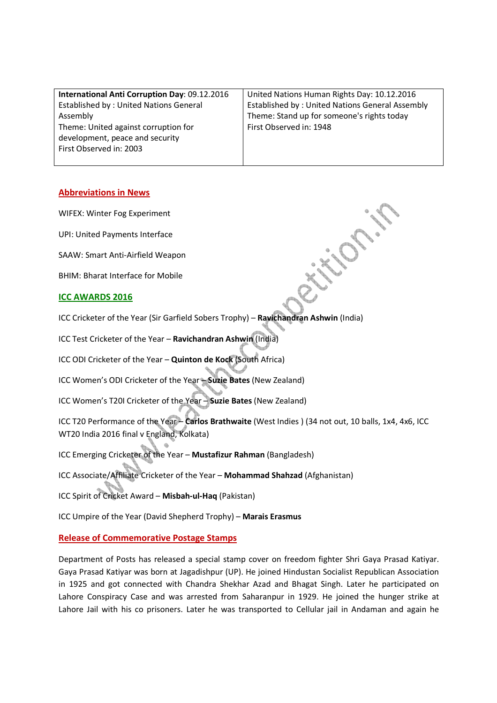| International Anti Corruption Day: 09.12.2016 | United Nations Human Rights Day: 10.12.2016     |
|-----------------------------------------------|-------------------------------------------------|
| <b>Established by: United Nations General</b> | Established by: United Nations General Assembly |
| Assembly                                      | Theme: Stand up for someone's rights today      |
| Theme: United against corruption for          | First Observed in: 1948                         |
| development, peace and security               |                                                 |
| First Observed in: 2003                       |                                                 |
|                                               |                                                 |

# **Abbreviations in News**

WIFEX: Winter Fog Experiment

UPI: United Payments Interface

SAAW: Smart Anti-Airfield Weapon

BHIM: Bharat Interface for Mobile

#### **ICC AWARDS 2016**

ICC Cricketer of the Year (Sir Garfield Sobers Trophy) – **Ravichandran Ashwin** (India)

ICC Test Cricketer of the Year – **Ravichandran Ashwin** (India)

ICC ODI Cricketer of the Year – **Quinton de Kock** (South Africa)

ICC Women's ODI Cricketer of the Year – **Suzie Bates** (New Zealand)

ICC Women's T20I Cricketer of the Year – **Suzie Bates** (New Zealand)

ICC T20 Performance of the Year – **Carlos Brathwaite** (West Indies ) (34 not out, 10 balls, 1x4, 4x6, ICC WT20 India 2016 final v England, Kolkata)

ICC Emerging Cricketer of the Year – **Mustafizur Rahman** (Bangladesh)

ICC Associate/Affiliate Cricketer of the Year – **Mohammad Shahzad** (Afghanistan)

ICC Spirit of Cricket Award – **Misbah-ul-Haq** (Pakistan)

ICC Umpire of the Year (David Shepherd Trophy) – **Marais Erasmus**

#### **Release of Commemorative Postage Stamps**

Department of Posts has released a special stamp cover on freedom fighter Shri Gaya Prasad Katiyar. Gaya Prasad Katiyar was born at Jagadishpur (UP). He joined Hindustan Socialist Republican Association in 1925 and got connected with Chandra Shekhar Azad and Bhagat Singh. Later he participated on Lahore Conspiracy Case and was arrested from Saharanpur in 1929. He joined the hunger strike at Lahore Jail with his co prisoners. Later he was transported to Cellular jail in Andaman and again he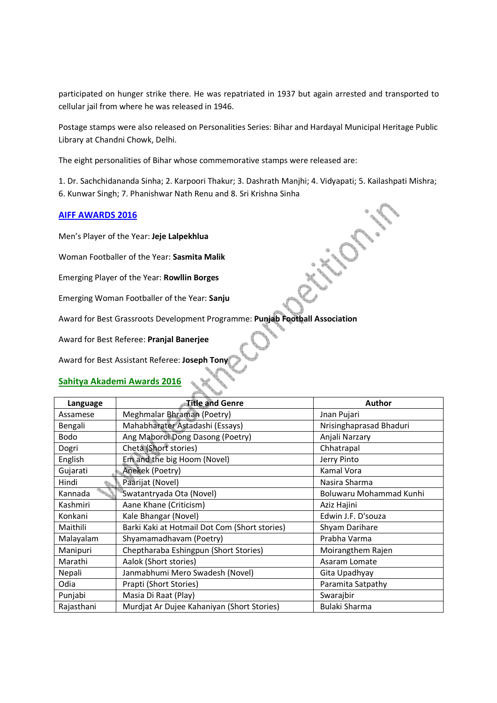participated on hunger strike there. He was repatriated in 1937 but again arrested and transported to cellular jail from where he was released in 1946.

Postage stamps were also released on Personalities Series: Bihar and Hardayal Municipal Heritage Public Library at Chandni Chowk, Delhi.

The eight personalities of Bihar whose commemorative stamps were released are:

1. Dr. Sachchidananda Sinha; 2. Karpoori Thakur; 3. Dashrath Manjhi; 4. Vidyapati; 5. Kailashpati Mishra; 6. Kunwar Singh; 7. Phanishwar Nath Renu and 8. Sri Krishna Sinha

# **AIFF AWARDS 2016**

Men's Player of the Year: **Jeje Lalpekhlua**

Woman Footballer of the Year: **Sasmita Malik**

Emerging Player of the Year: **Rowllin Borges**

Emerging Woman Footballer of the Year: **Sanju**

Award for Best Grassroots Development Programme: **Punjab Football Association**

Award for Best Referee: **Pranjal Banerjee**

Award for Best Assistant Referee: **Joseph Tony**

# **Sahitya Akademi Awards 2016**

| Language    | <b>Title and Genre</b>                        | <b>Author</b>           |
|-------------|-----------------------------------------------|-------------------------|
| Assamese    | Meghmalar Bhraman (Poetry)                    | Jnan Pujari             |
| Bengali     | Mahabharater Astadashi (Essays)               | Nrisinghaprasad Bhaduri |
| <b>Bodo</b> | Ang Maboroi Dong Dasong (Poetry)              | Anjali Narzary          |
| Dogri       | Cheta (Short stories)                         | Chhatrapal              |
| English     | Em and the big Hoom (Novel)                   | Jerry Pinto             |
| Gujarati    | Anekek (Poetry)                               | Kamal Vora              |
| Hindi       | Paarijat (Novel)                              | Nasira Sharma           |
| Kannada     | Swatantryada Ota (Novel)                      | Boluwaru Mohammad Kunhi |
| Kashmiri    | Aane Khane (Criticism)                        | Aziz Hajini             |
| Konkani     | Kale Bhangar (Novel)                          | Edwin J.F. D'souza      |
| Maithili    | Barki Kaki at Hotmail Dot Com (Short stories) | Shyam Darihare          |
| Malayalam   | Shyamamadhavam (Poetry)                       | Prabha Varma            |
| Manipuri    | Cheptharaba Eshingpun (Short Stories)         | Moirangthem Rajen       |
| Marathi     | Aalok (Short stories)                         | Asaram Lomate           |
| Nepali      | Janmabhumi Mero Swadesh (Novel)               | Gita Upadhyay           |
| Odia        | Prapti (Short Stories)                        | Paramita Satpathy       |
| Punjabi     | Masia Di Raat (Play)                          | Swarajbir               |
| Rajasthani  | Murdjat Ar Dujee Kahaniyan (Short Stories)    | Bulaki Sharma           |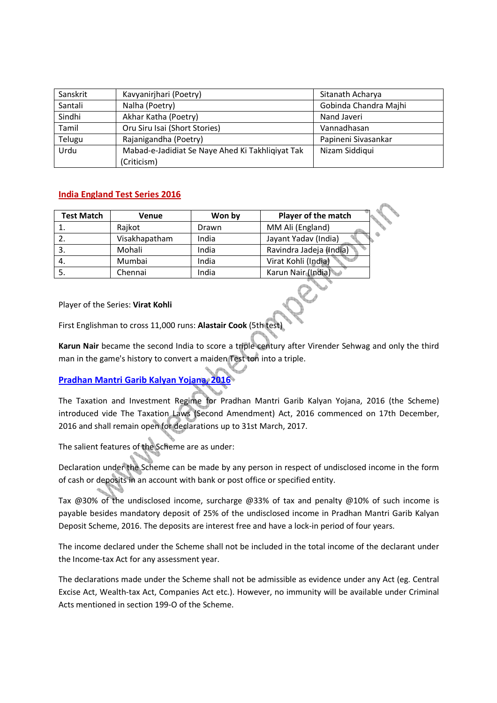| Sanskrit | Kavyanirjhari (Poetry)                           | Sitanath Acharya      |
|----------|--------------------------------------------------|-----------------------|
| Santali  | Nalha (Poetry)                                   | Gobinda Chandra Majhi |
| Sindhi   | Akhar Katha (Poetry)                             | Nand Javeri           |
| Tamil    | Oru Siru Isai (Short Stories)                    | Vannadhasan           |
| Telugu   | Rajanigandha (Poetry)                            | Papineni Sivasankar   |
| Urdu     | Mabad-e-Jadidiat Se Naye Ahed Ki Takhliqiyat Tak | Nizam Siddiqui        |
|          | (Criticism)                                      |                       |

# **India England Test Series 2016**

| <b>Test Match</b> | Venue         | Won by | Player of the match     |
|-------------------|---------------|--------|-------------------------|
|                   | Rajkot        | Drawn  | MM Ali (England)        |
|                   | Visakhapatham | India  | Jayant Yadav (India)    |
|                   | Mohali        | India  | Ravindra Jadeja (India) |
|                   | Mumbai        | India  | Virat Kohli (India)     |
|                   | Chennai       | India  | Karun Nair (India)      |

Player of the Series: **Virat Kohli**

First Englishman to cross 11,000 runs: **Alastair Cook** (5th test)

**Karun Nair** became the second India to score a triple century after Virender Sehwag and only the third man in the game's history to convert a maiden Test ton into a triple.

# **Pradhan Mantri Garib Kalyan Yojana, 2016**

The Taxation and Investment Regime for Pradhan Mantri Garib Kalyan Yojana, 2016 (the Scheme) introduced vide The Taxation Laws (Second Amendment) Act, 2016 commenced on 17th December, 2016 and shall remain open for declarations up to 31st March, 2017.

The salient features of the Scheme are as under:

Declaration under the Scheme can be made by any person in respect of undisclosed income in the form of cash or deposits in an account with bank or post office or specified entity.

Tax @30% of the undisclosed income, surcharge @33% of tax and penalty @10% of such income is payable besides mandatory deposit of 25% of the undisclosed income in Pradhan Mantri Garib Kalyan Deposit Scheme, 2016. The deposits are interest free and have a lock-in period of four years.

The income declared under the Scheme shall not be included in the total income of the declarant under the Income-tax Act for any assessment year.

The declarations made under the Scheme shall not be admissible as evidence under any Act (eg. Central Excise Act, Wealth-tax Act, Companies Act etc.). However, no immunity will be available under Criminal Acts mentioned in section 199-O of the Scheme.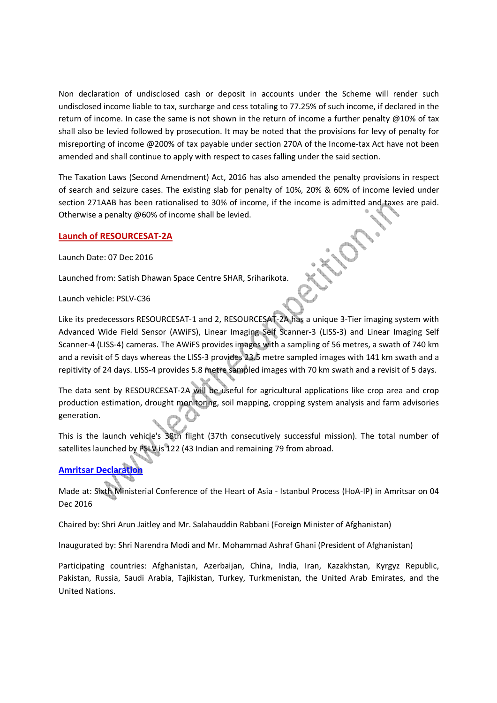Non declaration of undisclosed cash or deposit in accounts under the Scheme will render such undisclosed income liable to tax, surcharge and cess totaling to 77.25% of such income, if declared in the return of income. In case the same is not shown in the return of income a further penalty @10% of tax shall also be levied followed by prosecution. It may be noted that the provisions for levy of penalty for misreporting of income @200% of tax payable under section 270A of the Income-tax Act have not been amended and shall continue to apply with respect to cases falling under the said section.

The Taxation Laws (Second Amendment) Act, 2016 has also amended the penalty provisions in respect of search and seizure cases. The existing slab for penalty of 10%, 20% & 60% of income levied under section 271AAB has been rationalised to 30% of income, if the income is admitted and taxes are paid. Otherwise a penalty @60% of income shall be levied.

# **Launch of RESOURCESAT-2A**

Launch Date: 07 Dec 2016

Launched from: Satish Dhawan Space Centre SHAR, Sriharikota.

Launch vehicle: PSLV-C36

Like its predecessors RESOURCESAT-1 and 2, RESOURCESAT-2A has a unique 3-Tier imaging system with Advanced Wide Field Sensor (AWiFS), Linear Imaging Self Scanner-3 (LISS-3) and Linear Imaging Self Scanner-4 (LISS-4) cameras. The AWiFS provides images with a sampling of 56 metres, a swath of 740 km and a revisit of 5 days whereas the LISS-3 provides 23.5 metre sampled images with 141 km swath and a repitivity of 24 days. LISS-4 provides 5.8 metre sampled images with 70 km swath and a revisit of 5 days.

The data sent by RESOURCESAT-2A will be useful for agricultural applications like crop area and crop production estimation, drought monitoring, soil mapping, cropping system analysis and farm advisories generation.

This is the launch vehicle's 38th flight (37th consecutively successful mission). The total number of satellites launched by PSLV is 122 (43 Indian and remaining 79 from abroad.

# **Amritsar Declaration**

Made at: Sixth Ministerial Conference of the Heart of Asia - Istanbul Process (HoA-IP) in Amritsar on 04 Dec 2016

Chaired by: Shri Arun Jaitley and Mr. Salahauddin Rabbani (Foreign Minister of Afghanistan)

Inaugurated by: Shri Narendra Modi and Mr. Mohammad Ashraf Ghani (President of Afghanistan)

Participating countries: Afghanistan, Azerbaijan, China, India, Iran, Kazakhstan, Kyrgyz Republic, Pakistan, Russia, Saudi Arabia, Tajikistan, Turkey, Turkmenistan, the United Arab Emirates, and the United Nations.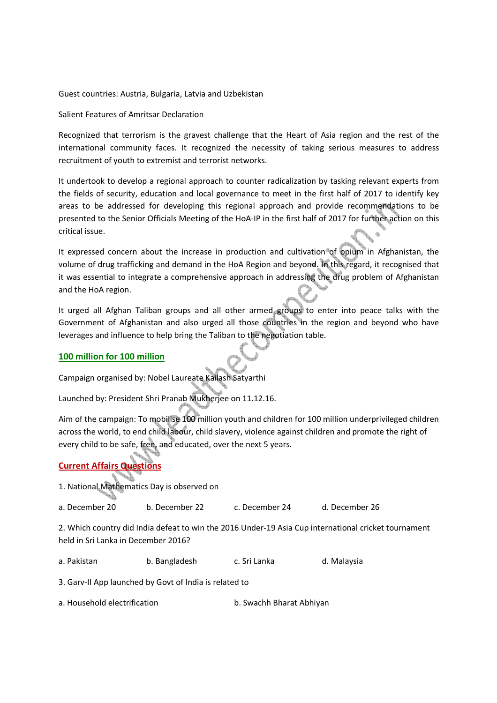#### Guest countries: Austria, Bulgaria, Latvia and Uzbekistan

### Salient Features of Amritsar Declaration

Recognized that terrorism is the gravest challenge that the Heart of Asia region and the rest of the international community faces. It recognized the necessity of taking serious measures to address recruitment of youth to extremist and terrorist networks.

It undertook to develop a regional approach to counter radicalization by tasking relevant experts from the fields of security, education and local governance to meet in the first half of 2017 to identify key areas to be addressed for developing this regional approach and provide recommendations to be presented to the Senior Officials Meeting of the HoA-IP in the first half of 2017 for further action on this critical issue.

It expressed concern about the increase in production and cultivation of opium in Afghanistan, the volume of drug trafficking and demand in the HoA Region and beyond. In this regard, it recognised that it was essential to integrate a comprehensive approach in addressing the drug problem of Afghanistan and the HoA region.

It urged all Afghan Taliban groups and all other armed groups to enter into peace talks with the Government of Afghanistan and also urged all those countries in the region and beyond who have leverages and influence to help bring the Taliban to the negotiation table.

# **100 million for 100 million**

Campaign organised by: Nobel Laureate Kailash Satyarthi

Launched by: President Shri Pranab Mukherjee on 11.12.16.

Aim of the campaign: To mobilise 100 million youth and children for 100 million underprivileged children across the world, to end child labour, child slavery, violence against children and promote the right of every child to be safe, free, and educated, over the next 5 years.

# **Current Affairs Questions**

1. National Mathematics Day is observed on

a. December 20 b. December 22 c. December 24 d. December 26

2. Which country did India defeat to win the 2016 Under-19 Asia Cup international cricket tournament held in Sri Lanka in December 2016?

a. Pakistan b. Bangladesh c. Sri Lanka d. Malaysia

3. Garv-II App launched by Govt of India is related to

a. Household electrification b. Swachh Bharat Abhiyan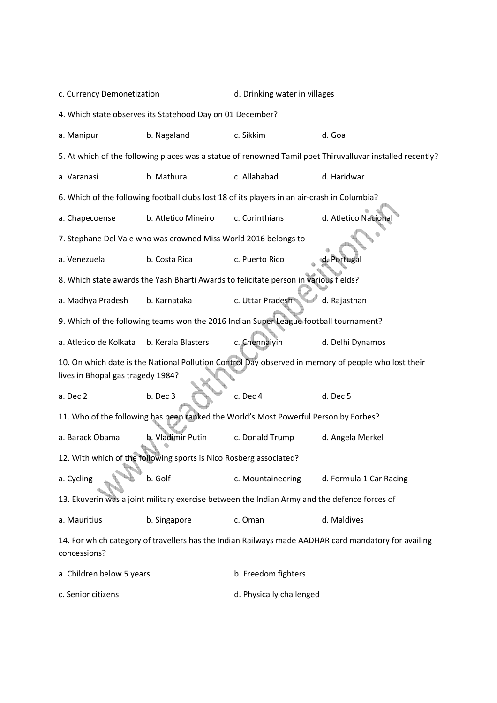| c. Currency Demonetization                                                                                                               |                                                                 | d. Drinking water in villages                                                                |                                                                                                           |  |  |  |
|------------------------------------------------------------------------------------------------------------------------------------------|-----------------------------------------------------------------|----------------------------------------------------------------------------------------------|-----------------------------------------------------------------------------------------------------------|--|--|--|
| 4. Which state observes its Statehood Day on 01 December?                                                                                |                                                                 |                                                                                              |                                                                                                           |  |  |  |
| a. Manipur                                                                                                                               | b. Nagaland                                                     | c. Sikkim                                                                                    | d. Goa                                                                                                    |  |  |  |
|                                                                                                                                          |                                                                 |                                                                                              | 5. At which of the following places was a statue of renowned Tamil poet Thiruvalluvar installed recently? |  |  |  |
| a. Varanasi                                                                                                                              | b. Mathura                                                      | c. Allahabad                                                                                 | d. Haridwar                                                                                               |  |  |  |
|                                                                                                                                          |                                                                 | 6. Which of the following football clubs lost 18 of its players in an air-crash in Columbia? |                                                                                                           |  |  |  |
| a. Chapecoense                                                                                                                           | b. Atletico Mineiro                                             | c. Corinthians                                                                               | d. Atletico Nacional                                                                                      |  |  |  |
|                                                                                                                                          | 7. Stephane Del Vale who was crowned Miss World 2016 belongs to |                                                                                              |                                                                                                           |  |  |  |
| a. Venezuela                                                                                                                             | b. Costa Rica                                                   | c. Puerto Rico                                                                               | d. Portugal                                                                                               |  |  |  |
|                                                                                                                                          |                                                                 | 8. Which state awards the Yash Bharti Awards to felicitate person in various fields?         |                                                                                                           |  |  |  |
| a. Madhya Pradesh                                                                                                                        | b. Karnataka                                                    | c. Uttar Pradesh                                                                             | d. Rajasthan                                                                                              |  |  |  |
|                                                                                                                                          |                                                                 | 9. Which of the following teams won the 2016 Indian Super League football tournament?        |                                                                                                           |  |  |  |
| a. Atletico de Kolkata                                                                                                                   | b. Kerala Blasters                                              | c. Chennaiyin                                                                                | d. Delhi Dynamos                                                                                          |  |  |  |
| 10. On which date is the National Pollution Control Day observed in memory of people who lost their<br>lives in Bhopal gas tragedy 1984? |                                                                 |                                                                                              |                                                                                                           |  |  |  |
| a. Dec 2                                                                                                                                 | b. Dec 3                                                        | c. Dec 4                                                                                     | d. Dec 5                                                                                                  |  |  |  |
|                                                                                                                                          |                                                                 | 11. Who of the following has been ranked the World's Most Powerful Person by Forbes?         |                                                                                                           |  |  |  |
| a. Barack Obama                                                                                                                          | b. Vladimir Putin                                               | c. Donald Trump                                                                              | d. Angela Merkel                                                                                          |  |  |  |
| 12. With which of the following sports is Nico Rosberg associated?                                                                       |                                                                 |                                                                                              |                                                                                                           |  |  |  |
| a. Cycling                                                                                                                               | b. Golf                                                         | c. Mountaineering                                                                            | d. Formula 1 Car Racing                                                                                   |  |  |  |
| 13. Ekuverin was a joint military exercise between the Indian Army and the defence forces of                                             |                                                                 |                                                                                              |                                                                                                           |  |  |  |
| a. Mauritius                                                                                                                             | b. Singapore                                                    | c. Oman                                                                                      | d. Maldives                                                                                               |  |  |  |
| concessions?                                                                                                                             |                                                                 |                                                                                              | 14. For which category of travellers has the Indian Railways made AADHAR card mandatory for availing      |  |  |  |
| a. Children below 5 years                                                                                                                |                                                                 | b. Freedom fighters                                                                          |                                                                                                           |  |  |  |

c. Senior citizens d. Physically challenged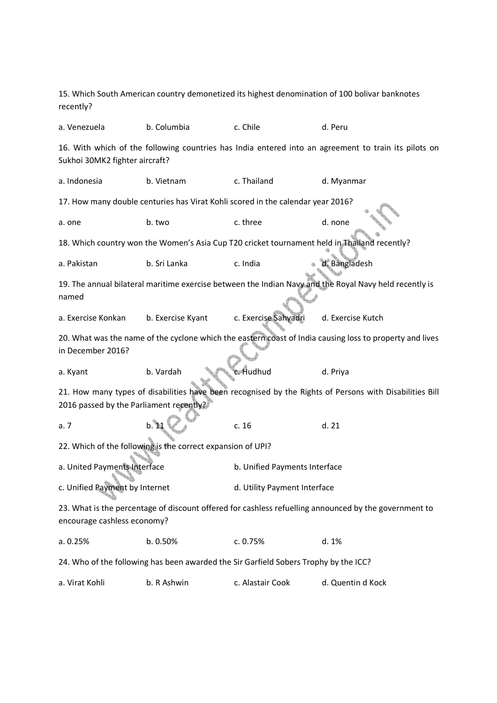| 15. Which South American country demonetized its highest denomination of 100 bolivar banknotes<br>recently?                          |                                                                                                          |                               |                                                                                                         |  |  |  |
|--------------------------------------------------------------------------------------------------------------------------------------|----------------------------------------------------------------------------------------------------------|-------------------------------|---------------------------------------------------------------------------------------------------------|--|--|--|
| a. Venezuela                                                                                                                         | b. Columbia                                                                                              | c. Chile                      | d. Peru                                                                                                 |  |  |  |
| Sukhoi 30MK2 fighter aircraft?                                                                                                       |                                                                                                          |                               | 16. With which of the following countries has India entered into an agreement to train its pilots on    |  |  |  |
| a. Indonesia                                                                                                                         | b. Vietnam                                                                                               | c. Thailand                   | d. Myanmar                                                                                              |  |  |  |
|                                                                                                                                      | 17. How many double centuries has Virat Kohli scored in the calendar year 2016?                          |                               |                                                                                                         |  |  |  |
| a. one                                                                                                                               | b. two                                                                                                   | c. three                      | d. none                                                                                                 |  |  |  |
|                                                                                                                                      |                                                                                                          |                               | 18. Which country won the Women's Asia Cup T20 cricket tournament held in Thailand recently?            |  |  |  |
| a. Pakistan                                                                                                                          | b. Sri Lanka                                                                                             | c. India                      | d. Bangladesh                                                                                           |  |  |  |
| named                                                                                                                                |                                                                                                          |                               | 19. The annual bilateral maritime exercise between the Indian Navy and the Royal Navy held recently is  |  |  |  |
| a. Exercise Konkan                                                                                                                   | b. Exercise Kyant                                                                                        | c. Exercise Sahyadri          | d. Exercise Kutch                                                                                       |  |  |  |
| in December 2016?                                                                                                                    | 20. What was the name of the cyclone which the eastern coast of India causing loss to property and lives |                               |                                                                                                         |  |  |  |
| a. Kyant                                                                                                                             | b. Vardah                                                                                                | c. Hudhud                     | d. Priya                                                                                                |  |  |  |
| 2016 passed by the Parliament recently?                                                                                              |                                                                                                          |                               | 21. How many types of disabilities have been recognised by the Rights of Persons with Disabilities Bill |  |  |  |
| a.7                                                                                                                                  | $b.$ 11                                                                                                  | c. 16                         | d.21                                                                                                    |  |  |  |
|                                                                                                                                      | 22. Which of the following is the correct expansion of UPI?                                              |                               |                                                                                                         |  |  |  |
| a. United Payments Interface                                                                                                         |                                                                                                          | b. Unified Payments Interface |                                                                                                         |  |  |  |
| c. Unified Payment by Internet                                                                                                       |                                                                                                          | d. Utility Payment Interface  |                                                                                                         |  |  |  |
| 23. What is the percentage of discount offered for cashless refuelling announced by the government to<br>encourage cashless economy? |                                                                                                          |                               |                                                                                                         |  |  |  |
| a. 0.25%                                                                                                                             | b. 0.50%                                                                                                 | c. 0.75%                      | d. 1%                                                                                                   |  |  |  |
|                                                                                                                                      | 24. Who of the following has been awarded the Sir Garfield Sobers Trophy by the ICC?                     |                               |                                                                                                         |  |  |  |
| a. Virat Kohli                                                                                                                       | b. R Ashwin                                                                                              | c. Alastair Cook              | d. Quentin d Kock                                                                                       |  |  |  |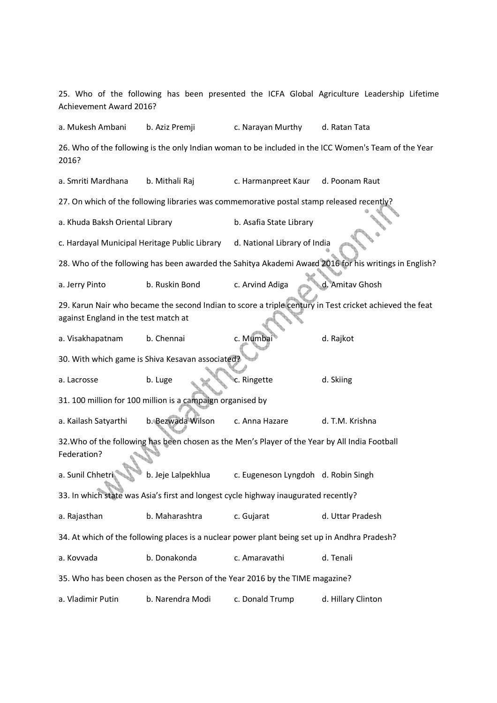25. Who of the following has been presented the ICFA Global Agriculture Leadership Lifetime Achievement Award 2016? a. Mukesh Ambani b. Aziz Premji c. Narayan Murthy d. Ratan Tata 26. Who of the following is the only Indian woman to be included in the ICC Women's Team of the Year 2016? a. Smriti Mardhana b. Mithali Raj c. Harmanpreet Kaur d. Poonam Raut 27. On which of the following libraries was commemorative postal stamp released recently? a. Khuda Baksh Oriental Library b. Asafia State Library c. Hardayal Municipal Heritage Public Library d. National Library of India 28. Who of the following has been awarded the Sahitya Akademi Award 2016 for his writings in English? a. Jerry Pinto b. Ruskin Bond c. Arvind Adiga d. Amitav Ghosh 29. Karun Nair who became the second Indian to score a triple century in Test cricket achieved the feat against England in the test match at a. Visakhapatnam b. Chennai c. Mumbai d. Rajkot 30. With which game is Shiva Kesavan associated? a. Lacrosse b. Luge c. Ringette d. Skiing 31. 100 million for 100 million is a campaign organised by a. Kailash Satyarthi b. Bezwada Wilson c. Anna Hazare d. T.M. Krishna 32.Who of the following has been chosen as the Men's Player of the Year by All India Football Federation? a. Sunil Chhetri b. Jeje Lalpekhlua c. Eugeneson Lyngdoh d. Robin Singh 33. In which state was Asia's first and longest cycle highway inaugurated recently? a. Rajasthan b. Maharashtra c. Gujarat d. Uttar Pradesh 34. At which of the following places is a nuclear power plant being set up in Andhra Pradesh? a. Kovvada b. Donakonda c. Amaravathi d. Tenali 35. Who has been chosen as the Person of the Year 2016 by the TIME magazine? a. Vladimir Putin b. Narendra Modi c. Donald Trump d. Hillary Clinton